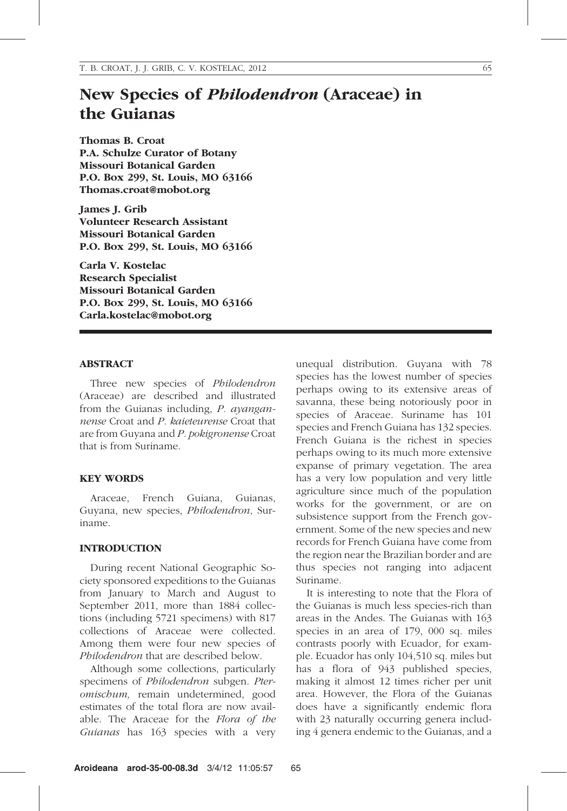# New Species of Philodendron (Araceae) in the Guianas

Thomas B. Croat P.A. Schulze Curator of Botany Missouri Botanical Garden P.O. Box 299, St. Louis, MO 63166 Thomas.croat@mobot.org

James J. Grib Volunteer Research Assistant Missouri Botanical Garden P.O. Box 299, St. Louis, MO 63166

Carla V. Kostelac Research Specialist Missouri Botanical Garden P.O. Box 299, St. Louis, MO 63166 Carla.kostelac@mobot.org

#### ABSTRACT

Three new species of Philodendron (Araceae) are described and illustrated from the Guianas including, P. ayangannense Croat and P. kaieteurense Croat that are from Guyana and P. pokigronense Croat that is from Suriname.

## KEY WORDS

Araceae, French Guiana, Guianas, Guyana, new species, Philodendron, Suriname.

### INTRODUCTION

During recent National Geographic Society sponsored expeditions to the Guianas from January to March and August to September 2011, more than 1884 collections (including 5721 specimens) with 817 collections of Araceae were collected. Among them were four new species of Philodendron that are described below.

Although some collections, particularly specimens of Philodendron subgen. Pteromischum, remain undetermined, good estimates of the total flora are now available. The Araceae for the Flora of the Guianas has 163 species with a very unequal distribution. Guyana with 78 species has the lowest number of species perhaps owing to its extensive areas of savanna, these being notoriously poor in species of Araceae. Suriname has 101 species and French Guiana has 132 species. French Guiana is the richest in species perhaps owing to its much more extensive expanse of primary vegetation. The area has a very low population and very little agriculture since much of the population works for the government, or are on subsistence support from the French government. Some of the new species and new records for French Guiana have come from the region near the Brazilian border and are thus species not ranging into adjacent Suriname.

It is interesting to note that the Flora of the Guianas is much less species-rich than areas in the Andes. The Guianas with 163 species in an area of 179, 000 sq. miles contrasts poorly with Ecuador, for example. Ecuador has only 104,510 sq. miles but has a flora of 943 published species, making it almost 12 times richer per unit area. However, the Flora of the Guianas does have a significantly endemic flora with 23 naturally occurring genera including 4 genera endemic to the Guianas, and a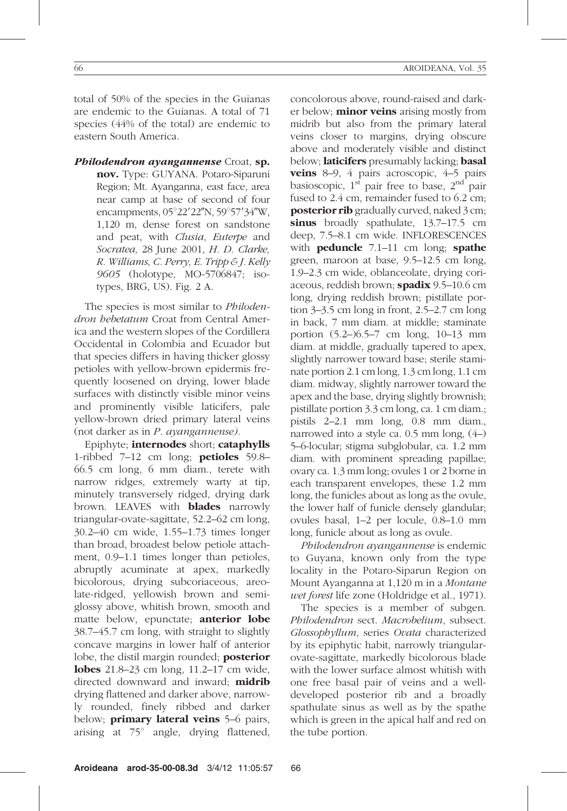total of 50% of the species in the Guianas are endemic to the Guianas. A total of 71 species (44% of the total) are endemic to eastern South America.

Philodendron ayangannense Croat, sp. nov. Type: GUYANA. Potaro-Siparuni Region; Mt. Ayanganna, east face, area near camp at base of second of four encampments,  $05^{\circ}22'22''N$ ,  $59^{\circ}57'34''W$ , 1,120 m, dense forest on sandstone and peat, with Clusia, Euterpe and Socratea, 28 June 2001, H. D. Clarke, R. Williams, C. Perry, E. Tripp  $\mathcal E I$ . Kelly 9605 (holotype, MO-5706847; isotypes, BRG, US). Fig. 2 A.

The species is most similar to *Philoden*dron hebetatum Croat from Central America and the western slopes of the Cordillera Occidental in Colombia and Ecuador but that species differs in having thicker glossy petioles with yellow-brown epidermis frequently loosened on drying, lower blade surfaces with distinctly visible minor veins and prominently visible laticifers, pale yellow-brown dried primary lateral veins (not darker as in P. ayangannense).

Epiphyte; internodes short; cataphylls 1-ribbed  $7-12$  cm long; **petioles**  $59.8-$ 66.5 cm long, 6 mm diam., terete with narrow ridges, extremely warty at tip, minutely transversely ridged, drying dark brown. LEAVES with **blades** narrowly triangular-ovate-sagittate, 52.2–62 cm long, 30.2–40 cm wide, 1.55–1.73 times longer than broad, broadest below petiole attachment, 0.9–1.1 times longer than petioles, abruptly acuminate at apex, markedly bicolorous, drying subcoriaceous, areolate-ridged, yellowish brown and semiglossy above, whitish brown, smooth and matte below, epunctate; **anterior lobe** 38.7–45.7 cm long, with straight to slightly concave margins in lower half of anterior lobe, the distil margin rounded; **posterior** lobes 21.8–23 cm long, 11.2–17 cm wide, directed downward and inward; **midrib** drying flattened and darker above, narrowly rounded, finely ribbed and darker below; **primary lateral veins** 5–6 pairs, arising at  $75^\circ$  angle, drying flattened,

concolorous above, round-raised and darker below; **minor veins** arising mostly from midrib but also from the primary lateral veins closer to margins, drying obscure above and moderately visible and distinct below; **laticifers** presumably lacking; **basal** veins 8–9, 4 pairs acroscopic, 4–5 pairs basioscopic,  $1<sup>st</sup>$  pair free to base,  $2<sup>nd</sup>$  pair fused to 2.4 cm, remainder fused to 6.2 cm; **posterior rib** gradually curved, naked 3 cm; sinus broadly spathulate, 13.7–17.5 cm deep, 7.5–8.1 cm wide. INFLORESCENCES with **peduncle**  $7.1-11$  cm long; **spathe** green, maroon at base, 9.5–12.5 cm long, 1.9–2.3 cm wide, oblanceolate, drying coriaceous, reddish brown; spadix 9.5-10.6 cm long, drying reddish brown; pistillate portion 3–3.5 cm long in front, 2.5–2.7 cm long in back, 7 mm diam. at middle; staminate portion (5.2–)6.5–7 cm long, 10–13 mm diam. at middle, gradually tapered to apex, slightly narrower toward base; sterile staminate portion 2.1 cm long, 1.3 cm long, 1.1 cm diam. midway, slightly narrower toward the apex and the base, drying slightly brownish; pistillate portion 3.3 cm long, ca. 1 cm diam.; pistils 2–2.1 mm long, 0.8 mm diam., narrowed into a style ca. 0.5 mm long, (4–) 5–6-locular; stigma subglobular, ca. 1.2 mm diam. with prominent spreading papillae; ovary ca. 1.3 mm long; ovules 1 or 2 borne in each transparent envelopes, these 1.2 mm long, the funicles about as long as the ovule, the lower half of funicle densely glandular; ovules basal, 1–2 per locule, 0.8–1.0 mm long, funicle about as long as ovule.

Philodendron ayangannense is endemic to Guyana, known only from the type locality in the Potaro-Siparun Region on Mount Ayanganna at 1,120 m in a Montane wet forest life zone (Holdridge et al., 1971).

The species is a member of subgen. Philodendron sect. Macrobelium, subsect. Glossophyllum, series Ovata characterized by its epiphytic habit, narrowly triangularovate-sagittate, markedly bicolorous blade with the lower surface almost whitish with one free basal pair of veins and a welldeveloped posterior rib and a broadly spathulate sinus as well as by the spathe which is green in the apical half and red on the tube portion.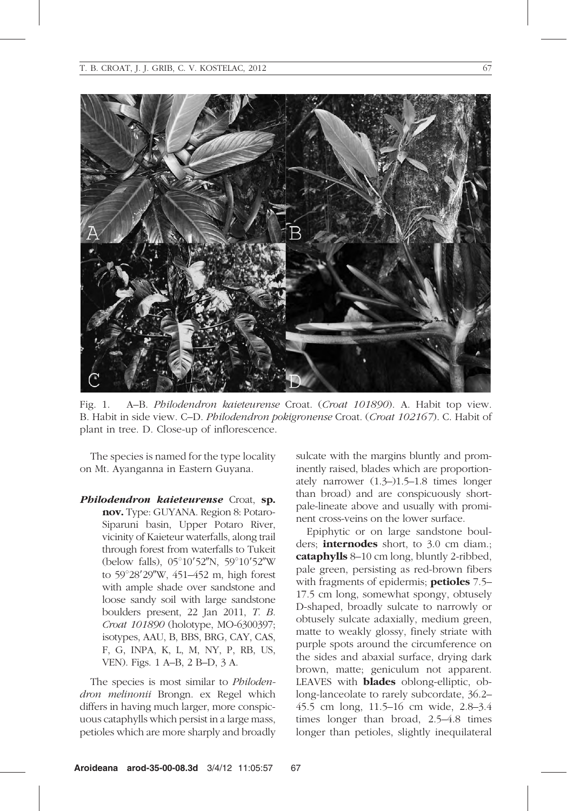

Fig. 1. A–B. Philodendron kaieteurense Croat. (Croat 101890). A. Habit top view. B. Habit in side view. C–D. *Philodendron pokigronense* Croat. (*Croat 102167*). C. Habit of plant in tree. D. Close-up of inflorescence.

The species is named for the type locality on Mt. Ayanganna in Eastern Guyana.

Philodendron kaieteurense Croat, sp. nov. Type: GUYANA. Region 8: Potaro-Siparuni basin, Upper Potaro River, vicinity of Kaieteur waterfalls, along trail through forest from waterfalls to Tukeit (below falls), 05°10'52"N, 59°10'52"W to 59°28'29"W, 451–452 m, high forest with ample shade over sandstone and loose sandy soil with large sandstone boulders present, 22 Jan 2011, T. B. Croat 101890 (holotype, MO-6300397; isotypes, AAU, B, BBS, BRG, CAY, CAS, F, G, INPA, K, L, M, NY, P, RB, US, VEN). Figs. 1 A–B, 2 B–D, 3 A.

The species is most similar to *Philoden*dron melinonii Brongn. ex Regel which differs in having much larger, more conspicuous cataphylls which persist in a large mass, petioles which are more sharply and broadly sulcate with the margins bluntly and prominently raised, blades which are proportionately narrower (1.3–)1.5–1.8 times longer than broad) and are conspicuously shortpale-lineate above and usually with prominent cross-veins on the lower surface.

Epiphytic or on large sandstone boulders; internodes short, to 3.0 cm diam.; cataphylls 8–10 cm long, bluntly 2-ribbed, pale green, persisting as red-brown fibers with fragments of epidermis; **petioles** 7.5– 17.5 cm long, somewhat spongy, obtusely D-shaped, broadly sulcate to narrowly or obtusely sulcate adaxially, medium green, matte to weakly glossy, finely striate with purple spots around the circumference on the sides and abaxial surface, drying dark brown, matte; geniculum not apparent. LEAVES with **blades** oblong-elliptic, oblong-lanceolate to rarely subcordate, 36.2– 45.5 cm long, 11.5–16 cm wide, 2.8–3.4 times longer than broad, 2.5–4.8 times longer than petioles, slightly inequilateral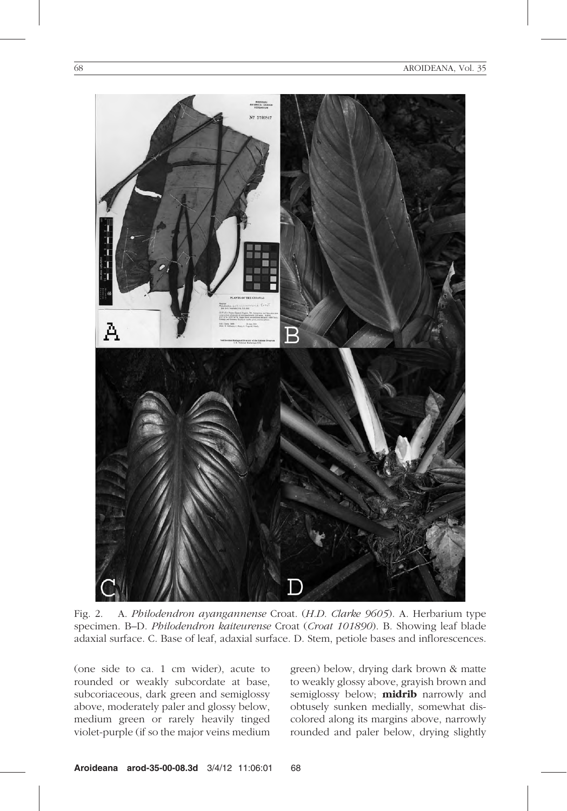

Fig. 2. A. Philodendron ayangannense Croat. (H.D. Clarke 9605). A. Herbarium type specimen. B–D. Philodendron kaiteurense Croat (Croat 101890). B. Showing leaf blade adaxial surface. C. Base of leaf, adaxial surface. D. Stem, petiole bases and inflorescences.

(one side to ca. 1 cm wider), acute to rounded or weakly subcordate at base, subcoriaceous, dark green and semiglossy above, moderately paler and glossy below, medium green or rarely heavily tinged violet-purple (if so the major veins medium green) below, drying dark brown & matte to weakly glossy above, grayish brown and semiglossy below; **midrib** narrowly and obtusely sunken medially, somewhat discolored along its margins above, narrowly rounded and paler below, drying slightly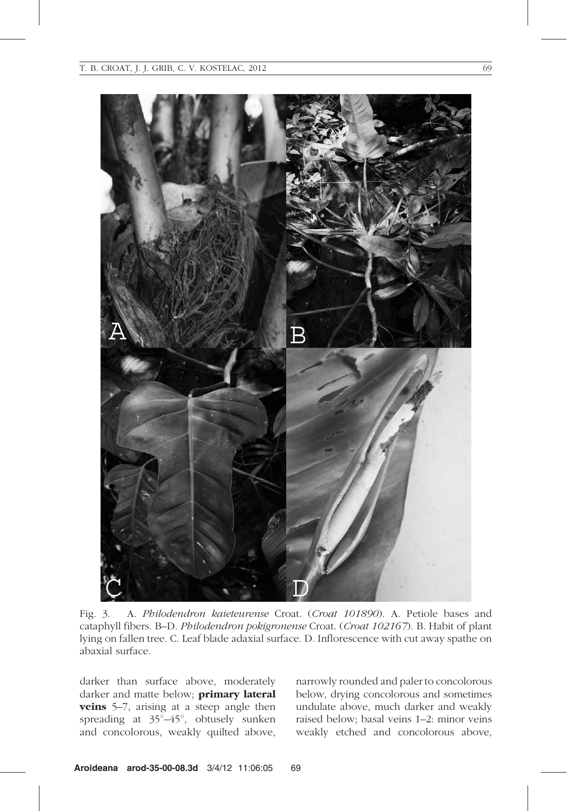

Fig. 3. A. Philodendron kaieteurense Croat. (Croat 101890). A. Petiole bases and cataphyll fibers. B–D. Philodendron pokigronense Croat. (Croat 102167). B. Habit of plant lying on fallen tree. C. Leaf blade adaxial surface. D. Inflorescence with cut away spathe on abaxial surface.

darker than surface above, moderately darker and matte below; **primary lateral** veins 5-7, arising at a steep angle then spreading at  $35^{\circ}-45^{\circ}$ , obtusely sunken and concolorous, weakly quilted above, narrowly rounded and paler to concolorous below, drying concolorous and sometimes undulate above, much darker and weakly raised below; basal veins 1–2: minor veins weakly etched and concolorous above,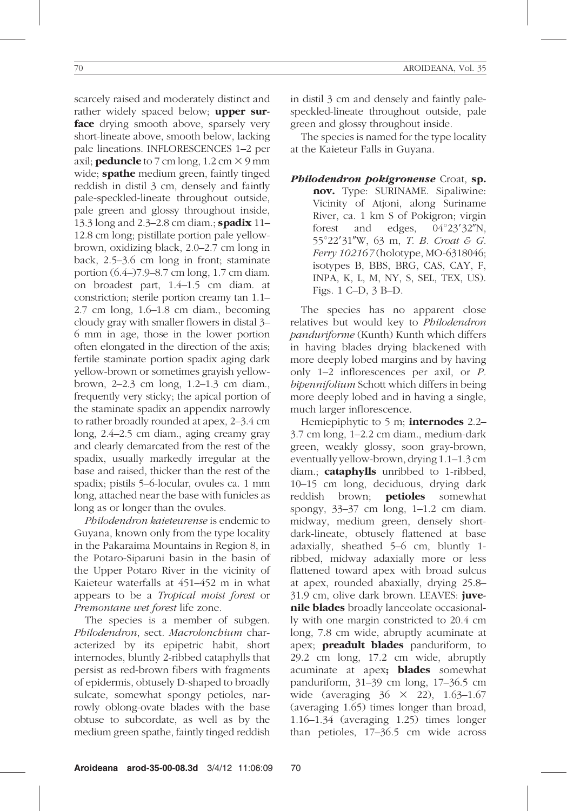scarcely raised and moderately distinct and rather widely spaced below; **upper sur**face drying smooth above, sparsely very short-lineate above, smooth below, lacking pale lineations. INFLORESCENCES 1–2 per axil; **peduncle** to 7 cm long,  $1.2 \text{ cm} \times 9 \text{ mm}$ wide; **spathe** medium green, faintly tinged reddish in distil 3 cm, densely and faintly pale-speckled-lineate throughout outside, pale green and glossy throughout inside, 13.3 long and 2.3–2.8 cm diam.; **spadix** 11– 12.8 cm long; pistillate portion pale yellowbrown, oxidizing black, 2.0–2.7 cm long in back, 2.5–3.6 cm long in front; staminate portion (6.4–)7.9–8.7 cm long, 1.7 cm diam. on broadest part, 1.4–1.5 cm diam. at constriction; sterile portion creamy tan 1.1– 2.7 cm long, 1.6–1.8 cm diam., becoming cloudy gray with smaller flowers in distal 3– 6 mm in age, those in the lower portion often elongated in the direction of the axis; fertile staminate portion spadix aging dark yellow-brown or sometimes grayish yellowbrown, 2–2.3 cm long, 1.2–1.3 cm diam., frequently very sticky; the apical portion of the staminate spadix an appendix narrowly to rather broadly rounded at apex, 2–3.4 cm long, 2.4–2.5 cm diam., aging creamy gray and clearly demarcated from the rest of the spadix, usually markedly irregular at the base and raised, thicker than the rest of the spadix; pistils 5–6-locular, ovules ca. 1 mm long, attached near the base with funicles as long as or longer than the ovules.

Philodendron kaieteurense is endemic to Guyana, known only from the type locality in the Pakaraima Mountains in Region 8, in the Potaro-Siparuni basin in the basin of the Upper Potaro River in the vicinity of Kaieteur waterfalls at 451–452 m in what appears to be a Tropical moist forest or Premontane wet forest life zone.

The species is a member of subgen. Philodendron, sect. Macrolonchium characterized by its epipetric habit, short internodes, bluntly 2-ribbed cataphylls that persist as red-brown fibers with fragments of epidermis, obtusely D-shaped to broadly sulcate, somewhat spongy petioles, narrowly oblong-ovate blades with the base obtuse to subcordate, as well as by the medium green spathe, faintly tinged reddish

in distil 3 cm and densely and faintly palespeckled-lineate throughout outside, pale green and glossy throughout inside.

The species is named for the type locality at the Kaieteur Falls in Guyana.

Philodendron pokigronense Croat, sp. nov. Type: SURINAME. Sipaliwine: Vicinity of Atjoni, along Suriname River, ca. 1 km S of Pokigron; virgin forest and edges,  $04^{\circ}23'32''N$ ,  $55^{\circ}22'31''W$ , 63 m, T. B. Croat & G. Ferry 102167 (holotype, MO-6318046; isotypes B, BBS, BRG, CAS, CAY, F, INPA, K, L, M, NY, S, SEL, TEX, US). Figs. 1 C–D, 3 B–D.

The species has no apparent close relatives but would key to Philodendron panduriforme (Kunth) Kunth which differs in having blades drying blackened with more deeply lobed margins and by having only 1–2 inflorescences per axil, or P. bipennifolium Schott which differs in being more deeply lobed and in having a single, much larger inflorescence.

Hemiepiphytic to 5 m; **internodes** 2.2– 3.7 cm long, 1–2.2 cm diam., medium-dark green, weakly glossy, soon gray-brown, eventually yellow-brown, drying 1.1–1.3 cm diam.; cataphylls unribbed to 1-ribbed, 10–15 cm long, deciduous, drying dark reddish brown; **petioles** somewhat spongy, 33–37 cm long, 1–1.2 cm diam. midway, medium green, densely shortdark-lineate, obtusely flattened at base adaxially, sheathed 5–6 cm, bluntly 1 ribbed, midway adaxially more or less flattened toward apex with broad sulcus at apex, rounded abaxially, drying 25.8– 31.9 cm, olive dark brown. LEAVES: juvenile blades broadly lanceolate occasionally with one margin constricted to 20.4 cm long, 7.8 cm wide, abruptly acuminate at apex; preadult blades panduriform, to 29.2 cm long, 17.2 cm wide, abruptly acuminate at apex; **blades** somewhat panduriform, 31–39 cm long, 17–36.5 cm wide (averaging  $36 \times 22$ ), 1.63–1.67 (averaging 1.65) times longer than broad, 1.16–1.34 (averaging 1.25) times longer than petioles, 17–36.5 cm wide across